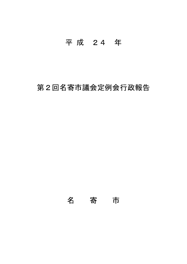# 平 成 24 年

# 第2回名寄市議会定例会行政報告

名 寄 市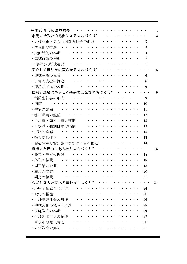| 平成 23 年度の決算概要           |    |
|-------------------------|----|
| "市民と行政との協働によるまちづくり"     | 3  |
| ・人権尊重と男女共同参画社会の形成       | 3  |
| ・情報化の推進                 | 3  |
| ・交流活動の推進                | 4  |
| ・広域行政の推進                | 5  |
| ・効率的な行政運営               | 5  |
| "安心して健やかに暮らせるまちづくり"     | 6  |
| ・地域医療の充実                | 6  |
| ・子育て支援の推進               | 8  |
| ・障がい者福祉の推進              | 9  |
| "自然と環境にやさしく快適で安全なまちづくり" | 9  |
| ・循環型社会の形成               | 9  |
| ・消防                     | 10 |
| ・住宅の整備                  | 11 |
| ・都市環境の整備                | 12 |
| ・上水道・簡易水道の整備            | 12 |
| ・下水道・個別排水の整備            | 13 |
| ・道路の整備                  | 13 |
| ・総合交通体系                 | 13 |
| ・雪を活かし雪に強いまちづくりの推進      | 14 |
| "創造力と活力にあふれたまちづくり"      | 15 |
| ・農業・農村の振興               | 15 |
| ・林業の振興                  | 18 |
| ・商工業の振興                 | 18 |
| ・雇用の安定                  | 20 |
| ・観光の振興                  | 21 |
| "心豊かな人と文化を育むまちづくり"      | 24 |
| ・小中学校教育の充実              | 24 |
| ・食育の推進                  | 26 |
| ・生涯学習社会の形成              | 26 |
| ・地域文化の継承と創造             | 28 |
| ・家庭教育の推進                | 29 |
| ・生涯スポーツの振興              | 29 |
| ・青少年の健全育成               | 30 |
| ・大学教育の充実                | 31 |

Ξ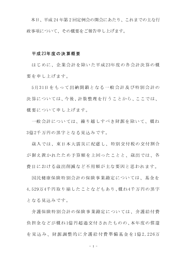本日、平成24年第2回定例会の開会にあたり、これまでの主な行 政事項について、その概要をご報告申し上げます。

# 平成23年度の決算概要

はじめに、企業会計を除いた平成23年度の各会計決算の概 要を申し上げます。

5月31日をもって出納閉鎖となる一般会計及び特別会計の 決算については、今後、計数整理を行うことから、ここでは、 概要について申し上げます。

一般会計については、繰り越しすべき財源を除いて、概ね 3億2千万円の黒字となる見込みです。

歳入では、東日本大震災に配慮し、特別交付税の交付割合 が据え置かれたため予算額を上回ったことと、歳出では、各 費目における歳出削減など不用額が主な要因と思われます。

国民健康保険特別会計の保険事業勘定については、基金を 4.529万4千円取り崩したことなどもあり、概ね4千万円の黒字 となる見込みです。

介護保険特別会計の保険事業勘定については、介護給付費 負担金などが概ね1億円超過交付されたものの、本年度の償還 を見込み、財源調整的に介護給付費準備基金を1億2,226万

 $-1 -$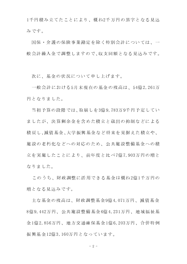1千円積み立てたことにより、概ね2千万円の黒字となる見込 みです。

国保・介護の保険事業勘定を除く特別会計については、一 般会計繰入金で調整しますので、収支同額となる見込みです。

次に、基金の状況について申し上げます。

一般会計における5月末現在の基金の残高は、54億2.261万 円となりました。

当初予算の段階では、取崩しを3億9,783万9千円予定してい ましたが、決算剰余金を含めた積立と歳出の抑制などによる 積戻し、減債基金、大学振興基金など将来を見据えた積立や、 施設の老朽化などへの対応のため、公共施設整備基金への積 立を実施したことにより、前年度と比べ7億7,903万円の増と なりました。

このうち、財政調整に活用できる基金は概ね2億1千万円の 増となる見込みです。

主な基金の残高は、財政調整基金9億4,071万円、減債基金 8億9.442万円、公共施設整備基金6億4.231万円、地域福祉基 金1億2,856万円、地方交通確保基金1億6,203万円、合併特例 振興基金12億3,160万円となっています。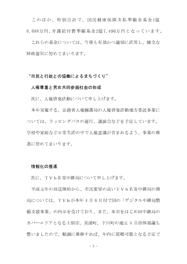このほか、特別会計で、国民健康保険支払準備金基金1億 8,688万円、介護給付費準備基金2億7,496万円となっています。

これらの基金については、今後も有効かつ適切に活用し、健全な 財政運営に努めてまいります。

# "市民と行政との協働によるまちづくり"

# 人権尊重と男女共同参画社会の形成

次に、人権啓発活動について申し上げます。

本年実施する、法務省人権擁護局の人権啓発活動地方委託事業に ついては、ラッピングバスの運行、講演会などを予定しています。 学校や家庭など日常生活の中で人権意識が育まれるよう、事業の推 進に努めてまいります。

# 情報化の推進

次に、TVh名寄中継局について申し上げます。

平成元年の放送開始から、市民要望の高いTVh名寄中継局の開 局については、TVhが本年4月6日付で国の「デジタル中継局整 備支援事業」の内示を受けており、また、本市をはじめ同中継局の カバーエリアとなる士別市、美深町、下川町の地元 4 自治体協議も 整いましたので、順調に推移すれば、年内に視聴可能となる予定で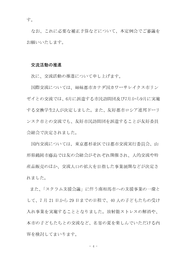なお、これに必要な補正予算などについて、本定例会でご審議を お願いいたします。

# 交流活動の推進

次に、交流活動の推進について申し上げます。

国際交流については、姉妹都市カナダ国カワーサレイクス市リン ゼイとの交流では、6月に派遣する市民訪問団及び7月から9月に実施 する交換学生2人が決定しました。また、友好都市ロシア連邦ドーリ ンスク市との交流でも、友好市民訪問団を派遣することが友好委員 会総会で決定されました。

国内交流については、東京都杉並区では都市交流実行委員会、山 形県鶴岡市藤島では友の会総会がそれぞれ開催され、人的交流や特 産品販売のほか、交流人口の拡大を目指した事業展開などが決定さ れました。

また、「スクラム支援会議」に伴う南相馬市への支援事業の一環と して、7月21日から29日までの日程で、40人の子どもたちの受け 入れ事業を実施することとなりました。放射能ストレスの解消や、 本市の子どもたちとの交流など、名寄の夏を楽しんでいただける内 容を検討してまいります。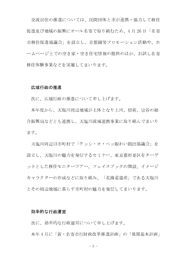交流居住の推進については、民間団体と市が連携・協力して移住 促進及び地域の振興にオール名寄で取り組むため、4月26日「名寄 市移住促進協議会」を設立し、首都圏等プロモーション活動や、ホ ームページ上での空き家・空き住宅情報の提供のほか、お試し名寄 移住体験事業などを実施してまいります。

#### 広域行政の推進

次に、広域行政の推進について申し上げます。

本年度から、天塩川周辺地域が主体となり上川、留萌、宗谷の総 合振興局などとも連携し、天塩川流域連携事業に取り組んでまいり ます。

天塩川周辺13市町村で「テッシ・オ・ペッ賑わい創出協議会」を 設立し、天塩川の魅力を発信するセミナー、東京都杉並区をターゲ ットとした移住モニターツアー、フェイスブックの開設、イメージ キャラクターの作成などに取り組み、「北海道遺産」である天塩川 とその周辺地域に暮らす市町村の魅力を発信してまいります。

# 効率的な行政運営

次に、効率的な行政運営について申し上げます。

本年4月に「新・名寄市行財政改革推進計画」の「後期基本計画」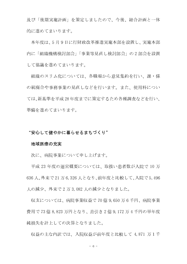及び「後期実施計画」を策定しましたので、今後、総合計画と一体 的に進めてまいります。

本年度は、5 月 9 日に行財政改革推進実施本部を設置し、実施本部 内に「組織機構検討部会」「事業等見直し検討部会」の2部会を設置 して協議を進めてまいります。

組織のスリム化については、各職場から意見集約を行い、課・係 の統廃合や事務事業の見直しなどを行います。また、使用料につい ては、新基準を平成28年度までに策定するため各種調査などを行い、 準備を進めてまいります。

# "安心して健やかに暮らせるまちづくり"

#### 地域医療の充実

次に、病院事業について申し上げます。

平成23年度の運営概要については、取扱い患者数が入院で10万 636人、外来で21万6,326人となり、前年度と比較して、入院で5,496 人の減少、外来で2万3,082人の減少となりました。

収支については、病院事業収益で70億9,650万6千円、病院事業 費用で73億8,823万円となり、差引き2億9,172万4千円の単年度 純損失を計上しての決算となりました。

収益の主な内訳では、入院収益が前年度と比較して 4,871 万1千

 $-6 -$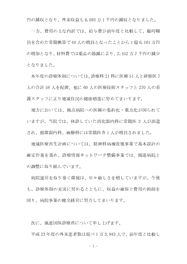円の減収となり、外来収益も6,083万1千円の減収となりました。

一方、費用の主な内訳では、給与費が前年度と比較して、臨時職 員を含めた常勤換算で40人の増員となったことから1億6,161万円 の増加となり、材料費では薬品の節減により、2,452万7千円の減少 となりました。

本年度の診療体制については、診療科 21 科に医師 51 人と研修医 7 人の合計 58 人を配置、他に 60 人の医療技術スタッフと 270 人の看 護スタッフにより地域住民の健康増進に努めてまいります。

地方においては、拠点病院への医師の集約化・重点化が図られて いますが、当院では、休診していた消化器内科に常勤医3人が派遣 され、循環器内科、麻酔科には常勤医各1人が増員されました。

地域医療再生計画については、精神科病棟改築事業で基本設計の 確定作業を進め、診療情報ネットワーク整備事業では、関連病院と の調整に取り組んでいます。

病院運営を取り巻く環境は、年々厳しさを増していますが、今後 も、診療体制の充実に努めるとともに、収益の確保と費用の抑制を 図り、病院事業の健全経営に努力してまいります。

次に、風連国保診療所について申し上げます。

平成23年度の外来患者数は延べ1万3,943人で、前年度と比較し

 $-7 -$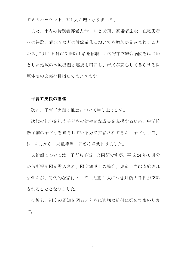て5.6パーセント、741人の増となりました。

また、市内の特別養護老人ホーム 2 カ所、高齢者施設、在宅患者 への往診、看取りなどの診療業務においても増加が見込まれること から、7月1日付けで医師1名を招聘し、名寄市立総合病院をはじめ とした地域の医療機関と連携を密にし、市民が安心して暮らせる医 療体制の充実を目指してまいります。

# 子育て支援の推進

次に、子育て支援の推進について申し上げます。

次代の社会を担う子どもの健やかな成長を支援するため、中学校 修了前の子どもを養育している方に支給されてきた「子ども手当」 は、4月から「児童手当」に名称が変わりました。

支給額については「子ども手当」と同額ですが、平成24年6月分 から所得制限が導入され、限度額以上の場合、児童手当は支給され ませんが、特例的な給付として、児童1人につき月額5千円が支給 されることとなりました。

今後も、制度の周知を図るとともに適切な給付に努めてまいりま 寸。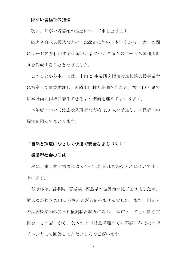# 障がい者福祉の推進

次に、障がい者福祉の推進について申し上げます。

障害者自立支援法などの一部改正に伴い、本年度から 3 カ年の間 にサービスを利用する全障がい者について個々のサービス等利用計 画を作成することとなりました。

このことから本市では、市内 2 事業所を指定特定相談支援事業者 に指定して事業委託し、近隣市町村と歩調を合わせ、本年10月まで に本計画の作成に着手できるよう準備を進めてまいります。

本年度については施設入所者など約 100 人を予定し、関係者への 周知を図ってまいります。

# "自然と環境にやさしく快適で安全なまちづくり"

#### 循環型社会の形成

次に、東日本大震災により発生したがれきの受入れについて申し 上げます。

私は昨年、岩手県、宮城県、福島県の被災地を見て回りましたが、 膨大ながれきの山に唖然とせざるを得ませんでした。また、国から の災害廃棄物の受入れ検討状況調査に対し、「本市としても可能な支 援を」との思いから、受入れの可能量が埋立ての不燃ごみで最大 2 千トンとして回答してきたところでございます。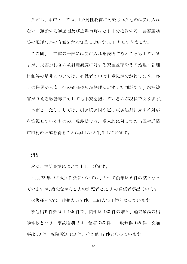ただし、本市としては、「放射性物質に汚染されたものは受け入れ ない。運搬する通過圏及び近隣市町村とも十分検討する。農畜産物 等の風評被害の有無を含め慎重に対応する。」としてきました。

この間、自治体の一部には受け入れを表明するところも出ていま すが、災害がれきの放射能濃度に対する安全基準やその処理・管理 体制等の是非については、有識者の中でも意見が分かれており、多 くの住民から安全性の確証や広域処理に対する批判があり、風評被 害が与える影響等に対しても不安を抱いているのが現状であります。

本市といたしましては、引き続き国や道の広域処理に対する対応 を注視していくものの、現段階では、受入れに対しての市民や近隣 市町村の理解を得ることは難しいと判断しています。

# 消防

次に、消防事業について申し上げます。

平成23年中の火災件数については、8件で前年比6件の減となっ ていますが、残念ながら2人の焼死者と、2人の負傷者が出ています。

火災種別では、建物火災7件、車両火災1件となっています。

救急出動件数は 1,155 件で、前年比 133 件の増と、過去最高の出 動件数となり、事故種別では、急病 745件、一般負傷 148件、交通 事故50件、転院搬送140件、その他72件となっています。

 $-10 -$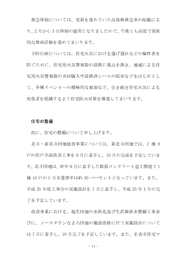救急体制については、更新を進めていた高規格救急車の配備によ り、2月から3台体制の運用となりましたので、今後とも高度で効果 的な救命活動を進めてまいります。

予防行政については、住宅火災における逃げ遅れなどの犠牲者を 防ぐために、住宅用火災警報器の設置に重点を置き、地域による住 宅用火災警報器の共同購入や設置済シールの配布などをはじめとし て、各種イベントへの積極的な参加など、引き続き住宅火災による 死傷者を低減するよう住宅防火対策を推進してまいります。

# 住宅の整備

次に、住宅の整備について申し上げます。

北斗・新北斗団地建替事業については、新北斗団地では、2棟8 戸の住戸全面改善工事を6月に着手し、10月の完成を予定していま す。北斗団地は、昨年9月に着手した鉄筋コンクリート造2階建て1 棟10戸の5月末進捗率は約30パーセントとなっています。また、 平成 25 年度工事分の実施設計を 7 月に着手し、平成 25 年1月の完 了を予定しています。

改善事業における、瑞生団地の水洗化及び生活雑排水整備工事並 びに、ノースタウンなよろ団地の施設改修に伴う実施設計について は7月に着手し、10月完了を予定しています。また、名寄市住宅マ

 $-11 -$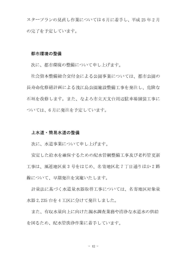スタープランの見直し作業については6月に着手し、平成25年2月 の完了を予定しています。

# 都市環境の整備

次に、都市環境の整備について申し上げます。

社会資本整備総合交付金による公園事業については、都市公園の 長寿命化修繕計画による浅江島公園施設整備工事を発注し、危険な 石垣を改修します。また、なよろ市立天文台周辺駐車場舗装工事に ついては、6月に発注を予定しています。

#### 上水道・簡易水道の整備

次に、水道事業について申し上げます。

安定した給水を確保するための配水管網整備工事及び老朽管更新 工事は、風連地区東3号をはじめ、名寄地区北7丁目通りほか2路 線について、早期発注を実施いたします。

計量法に基づく水道量水器取替工事については、名寄地区対象量 水器2,235台を4工区に分けて発注しました。

また、有収水量向上に向けた漏水調査業務や清浄な水道水の供給 を図るため、配水管洗浄作業に着手しています。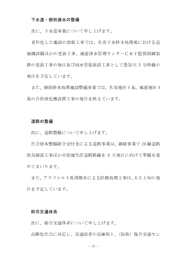# 下水道・個別排水の整備

次に、下水道事業について申し上げます。

老朽化した施設の改修工事では、名寄下水終末処理場における送 風機設備ほかの更新工事、風連浄水管理センターCRT監視制御装 置の更新工事の発注及び雨水管渠新設工事として豊栄川 3 号幹線の 発注を予定しています。

また、個別排水処理施設整備事業では、名寄地区4基、風連地区4 基の合併浄化槽設置工事の発注を終えています。

#### 道路の整備

次に、道路整備について申し上げます。

社会資本整備総合交付金による道路事業は、継続事業で19線道路 改良舗装工事ほか市街地生活道路路線を 6 月発注に向けて準備を進 めてまいります。

また、アスファルト乳剤散布による防塵処理工事は、6月上旬の発 注を予定しています。

# 総合交通体系

次に、総合交通体系について申し上げます。

高齢化社会に対応し、交通弱者の足確保と、(仮称)複合交通セン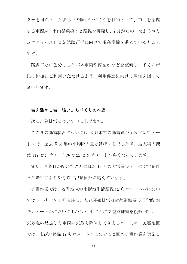ターを拠点としたまち中の賑わいづくりを目的として、市内を循環 する東西線·市内循環線の2路線を再編し、7月からの「なよろコミ ュニティバス」実証試験運行に向けて現在準備を進めているところ です。

路線ごとに色分けしたバス車両や停留所などを整備し、多くの市 民の皆様にご利用いただけるよう、利用促進に向けて周知を図って まいります。

# 雪を活かし雪に強いまちづくりの推進

次に、除排雪について申し上げます。

この冬の降雪状況については、3月末での降雪量が725 センチメー トルで、過去 5 カ年の平均降雪量とほぼ同じでしたが、最大積雪深 は117センチメートルで22センチメートル多くなっています。

また、真冬日が続いたことのほか12月の大雪及び2月の吹雪を伴 った降雪によりやや除雪出動回数が増えています。

排雪作業では、名寄地区の市街地生活路線92キロメートルにおい てカット排雪を1回実施し、積込運搬排雪は幹線道路及び通学路34 キロメートルにおいて1から3回、さらに交差点排雪を複数回行い、 交差点の見通しや車両の交差を確保してきました。また、風連地区 では、市街地路線17キロメートルにおいて2回の排雪作業を実施し

 $-14 -$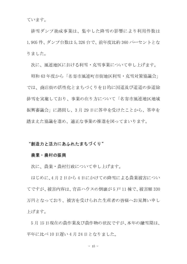ています。

排雪ダンプ助成事業は、集中した降雪の影響により利用件数は 1,905 件、ダンプ台数は 5,326 台で、前年度比約 360 パーセントとな りました。

次に、風連地区における利雪・克雪事業について申し上げます。

昭和63年度から「名寄市風連町市街地区利雪・克雪対策協議会」 では、商店街の活性化とまちづくりを目的に国道及び道道の歩道除 排雪を実施しており、事業の在り方について「名寄市風連地区地域 振興審議会」に諮問し、3月29日に答申を受けたことから、答申を 踏まえた協議を進め、適正な事業の推進を図ってまいります。

# "創造力と活力にあふれたまちづくり"

## 農業・農村の振興

次に、農業・農村行政について申し上げます。

はじめに、4月2日から4日にかけての降雪による農業被害につい てですが、被害内容は、育苗ハウスの倒壊が5戸11棟で、被害額330 万円となっており、被害を受けられた生産者の皆様へお見舞い申し 上げます。

5月15日現在の農作業及び農作物の状況ですが、本年の融雪期は、 平年に比べ10日遅い4月24日となりました。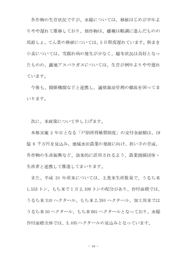各作物の生育状況ですが、水稲については、移植はじめが平年よ りやや遅れて推移しており、畑作物は、播種は順調に進んだものの 馬鈴しょ、てん菜の移植については、5日程度遅れています。 秋まき 小麦については、雪腐れ病の発生が少なく、越冬状況は良好となっ たものの、露地アスパラガスについては、生育が例年よりやや遅れ ています。

今後も、関係機関などと連携し、適期栽培管理の徹底を図ってま いります。

次に、米政策について申し上げます。

本格実施 2 年目となる「戸別所得補償制度」の交付金総額は、19 億6千万円を見込み、地域水田農業の発展に向け、担い手の育成、 各作物の生産振興など、効果的に活用されるよう、農業関係団体・ 生産者と連携して推進してまいります。

また、平成 24 年産米については、主食米生産数量で、うるち米 1,553 トン、もち米で1万2,109 トンの配分があり、作付面積では、 うるち米 310 ヘクタール、もち米 2,384 ヘクタール、加工用米では うるち米 50 ヘクタール、もち米 661 ヘクタールとなっており、水稲 作付面積全体では、3,405ヘクタールの見込みとなっています。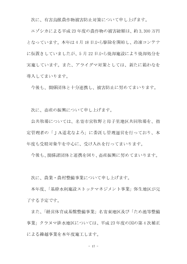次に、有害鳥獣農作物被害防止対策について申し上げます。

エゾシカによる平成23年度の農作物の被害総額は、約3.300万円 となっています。本年は4月18日から駆除を開始し、冷凍コンテナ に仮置きしていましたが、5月22日から焼却施設により焼却処分を 実施しています。また、アライグマ対策としては、新たに箱わなを 導入してまいります。

今後も、関係団体と十分連携し、被害防止に努めてまいります。

次に、畜産の振興について申し上げます。

公共牧場については、名寄市営牧野と母子里地区共同牧場を、指 定管理者の「JA道北なよろ」に委託し管理運営を行っており、本 年度も受精対象牛を中心に、受け入れを行ってまいります。

今後も、関係諸団体と連携を図り、畜産振興に努めてまいります。

次に、農業・農村整備事業について申し上げます。

本年度、「基幹水利施設ストックマネジメント事業」弥生地区が完 了する予定です。

また、「経営体育成基盤整備事業」名寄東地区及び「ため池等整備 事業」クラヌマ排水地区については、平成23年度の国の第4次補正 による繰越事業を本年度施工します。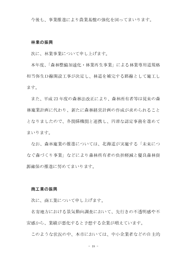今後も、事業推進により農業基盤の強化を図ってまいります。

#### 林業の振興

次に、林業事業について申し上げます。

本年度、「森林整備加速化・林業再生事業」による林業専用道規格 相当弥生D線開設工事が決定し、林道を補完する路線として施工し ます。

また、平成23年度の森林法改正により、森林所有者等は従来の森 林施業計画に代わり、新たに森林経営計画の作成が求められること となりましたので、各関係機関と連携し、円滑な認定事務を進めて まいります。

なお、森林施業の推進については、北海道が実施する「未来につ なぐ森づくり事業」などにより森林所有者の負担軽減と優良森林資 源確保の推進に努めてまいります。

# 商工業の振興

次に、商工業について申し上げます。

名寄地方における景気動向調査において、先行きの不透明感や不 安感から、業績が悪化すると予想する企業が増えています。

このような状況の中、本市においては、中小企業者などの自主的

 $-18 -$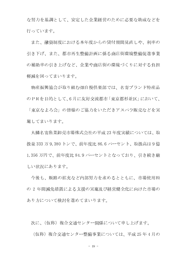な努力を基調として、安定した企業経営のために必要な助成などを 行っています。

また、融資制度における本年度からの貸付期間見直しや、利率の 引き下げ、また、都市再生整備計画に係る商店街環境整備促進事業 の補助率の引き上げなど、企業や商店街の環境づくりに対する負担 軽減を図ってまいります。

物産振興協会が取り組む畑自慢倶楽部では、名寄ブランド特産品 のPRを目的として、6月に友好交流都市「東京都杉並区」において、 「東京なよろ会」の皆様のご協力をいただきアスパラ販売などを実

施してまいります。

丸鱗名寄魚菜卸売市場株式会社の平成23年度実績については、取 扱量 333 万 9,380 トンで、前年度比 86.6 パーセント、取扱高は 9 億 1,356 万円で、前年度比 84.9 パーセントとなっており、引き続き厳 しい状況にあります。

今後も、販路の拡充など内部努力を求めるとともに、市場使用料 の2年間減免措置による支援の実施及び経営健全化に向けた市場の あり方について検討を進めてまいります。

次に、(仮称)複合交通センター関係について申し上げます。

(仮称) 複合交通センター整備事業については、平成25年4月の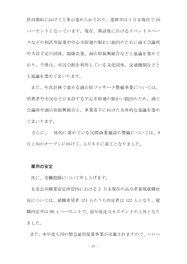供用開始に向けて工事が進められており、進捗率は4月末現在で20 パーセントとなっています。現在、開設後におけるイベントスペー スなどの利活用促進や中心市街地の賑わい創出のために商工会議所 や入居予定の団体、関係企業、商店街振興組合などと協議を進めて おり、今後は、市民会館を利用している文化団体、交通機関などと も協議を進めてまいります。

また、年次計画で進める商店街ファサード整備事業については、 消費者や市民などが来訪する中心市街地の賑わい創出のため、商工 会議所や商店街振興組合と、事業着手に向けた具体的な協議を進め てまいります。

さらに、一体的に進めている民間商業施設の整備については、8 月上旬のオープンに向けて、4月6日に着工となりました。

# 雇用の安定

次に、労働関係について申し上げます。

名寄公共職業安定所管内における 3 月末現在の高卒者新規就職状 況については、就職希望者 124 人のうち内定者は 122 人となり、就 職内定率は98.4パーセントで、前年度比0.8ポイントの上昇となり ました。

また、本年度も国の緊急雇用促進事業が実施されますので、ハロー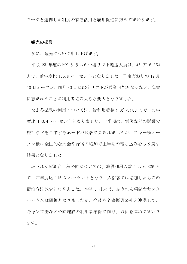ワークと連携した制度の有効活用と雇用促進に努めてまいります。

# 観光の振興

次に、観光について申し上げます。

平成 23 年度のピヤシリスキー場リフト輸送人員は、45 万 6,354 人で、前年度比106.9パーセントとなりました。予定どおりの12月 10日オープン、同月30日には全リフトが営業可能となるなど、降雪 に恵まれたことが利用者増の大きな要因となりました。

なよろ温泉の利用については、総利用者数9万2,900人で、前年 度比 100.4 パーセントとなりました。上半期は、震災などの影響で 旅行などを自粛するムードが顕著に見られましたが、スキー場オー プン後は全国的な大会や合宿の増加で上半期の落ち込みを取り戻す 結果となりました。

ふうれん望湖台自然公園については、施設利用人数1万6,326人 で、前年度比 115.3 パーセントとなり、入浴客では増加したものの 宿泊客は減少となりました。本年 3 月末で、ふうれん望湖台センタ 一ハウスは閉鎖となりましたが、今後も名寄振興公社と連携して、 キャンプ場など公園施設の利用者確保に向け、取組を進めてまいり ます。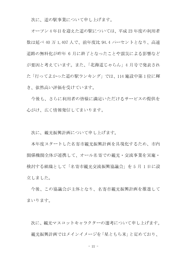次に、道の駅事業について申し上げます。

オープン4年目を迎えた道の駅については、平成23年度の利用者 数は延べ 40 万 1,407 人で、前年度比 94.4 パーセントとなり、高速 道路の無料化が昨年 6 月に終了となったことや震災による影響など が要因と考えています。また、「北海道じゃらん」4月号で発表され た「行ってよかった道の駅ランキング」では、114 施設中第1位に輝 き、依然高い評価を受けています。

今後も、さらに利用者の皆様に満足いただけるサービスの提供を 心がけ、広く情報発信してまいります。

次に、観光振興計画について申し上げます。

本年度スタートした名寄市観光振興計画を具現化するため、市内 関係機関全体が連携して、オール名寄での観光・交流事業を実施・ 検討する組織として「名寄市観光交流振興協議会」を5月1日に設 立しました。

今後、この協議会が主体となり、名寄市観光振興計画を推進して まいります。

次に、観光マスコットキャラクターの選考について申し上げます。 観光振興計画ではメインイメージを 「星ともち米」 と定めており、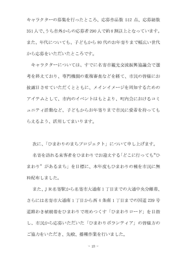キャラクターの募集を行ったところ、応募作品数 512 点、応募総数 351人で、うち市外からの応募者290人で約8割以上となっています。 また、年代についても、子どもから80代のお年寄りまで幅広い世代 から応募をいただいたところです。

キャラクターについては、すでに名寄市観光交流振興協議会で選 考を終えており、専門機関の重複審査などを経て、市民の皆様にお 披露目させていただくとともに、メインイメージを周知するための アイテムとして、市内のイベントはもとより、町内会におけるコミ ュニティ活動など、子どもからお年寄りまで市民に愛着を持っても らえるよう、活用してまいります。

次に、「ひまわりのまちプロジェクト」について申し上げます。

名寄を訪れる来客者をひまわりでお迎えする「どこに行っても"ひ まわり"があるまち」を目標に、本年度もひまわりの種を市民に無 料配布しました。

また、JR名寄駅から名寄市大通南1丁目までの大通中央分離帯、 さらには名寄市大通南1丁目から西4条南1丁目までの国道239号 道路わき植樹帯をひまわりで埋めつくす「ひまわりロード」を目指 し、市民から応募いただいた「ひまわりボランティア」の皆様方の ご協力をいただき、先般、播種作業を行いました。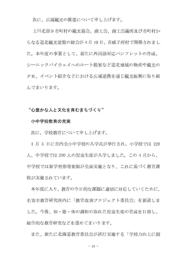次に、広域観光の推進について申し上げます。

上川北部9市町村の観光協会、商工会、商工会議所及び市町村か らなる道北観光連盟の総会が4月19日、音威子府村で開催されまし た。本年度の事業として、新たに外国語対応パンフレットの作成、 シーニックバイウェイへのルート提案など道北地域の物産や観光の PR、イベント紹介などにおける広域連携を通じ観光振興に取り組 んでまいります。

# "心豊かな人と文化を育むまちづくり"

# 小中学校教育の充実

次に、学校教育について申し上げます。

4月5日に市内全小中学校の入学式が挙行され、小学校では 228 人、中学校では200人の児童生徒が入学しました。この4月から、 中学校では新学習指導要領が全面実施となり、これに基づく教育課 程が実施されています。

本年度に入り、教育の今日的な課題に適切に対応していくために、 名寄市教育研究所内に「教育改善プロジェクト委員会」を新設しま した。今後、知・徳・体の調和の取れた児童生徒の育成を目指し、 総合的な教育研究などを進めてまいります。

また、新たに北海道教育委員会が試行実施する「学校力向上に関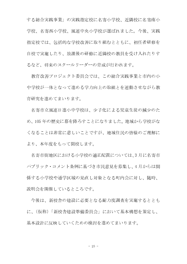する総合実践事業」の実践指定校に名寄小学校、近隣校に名寄南小 学校、名寄西小学校、風連中央小学校が選ばれました。今後、実践 指定校では、包括的な学校改善に取り組むとともに、初任者研修を 自校で実施したり、放課後の研修に近隣校の教員を受け入れたりす るなど、将来のスクールリーダーの育成が行われます。

教育改善プロジェクト委員会では、この総合実践事業と市内の小 中学校が一体となって進める学力向上の取組とを連動させながら教 育研究を進めてまいります。

名寄市立風連日進小中学校は、少子化による児童生徒の減少のた め、105年の歴史に幕を降ろすことになりました。地域から学校がな くなることは非常に悲しいことですが、地域住民の皆様のご理解に より、本年度をもって閉校します。

名寄市街地区における小学校の適正配置については、3月に名寄市 パブリック・コメント条例に基づき市民意見を募集し、4月からは関 係する小学校や通学区域の見直し対象となる町内会に対し、随時、 説明会を開催しているところです。

今後は、新校舎の建設に必要となる耐力度調査を実施するととも に、(仮称)「新校舎建設準備委員会」において基本構想を策定し、 基本設計に反映していくための検討を進めてまいります。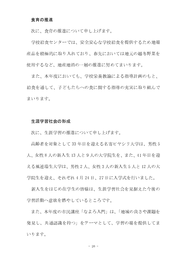# 食育の推進

次に、食育の推進について申し上げます。

学校給食センターでは、安全安心な学校給食を提供するため地場 産品を積極的に取り入れており、春先においては地元の越冬野菜を 使用するなど、地産地消の一層の推進に努めてまいります。

また、本年度においても、学校栄養教諭による指導計画のもと、 給食を通して、子どもたちへの食に関する指導の充実に取り組んで まいります。

# 生涯学習社会の形成

次に、生涯学習の推進について申し上げます。

高齢者を対象として33年目を迎える名寄ピヤシリ大学は、男性5 人、女性8人の新入生13人と9人の大学院生を、また、41年目を迎 える風連瑞生大学は、男性2人、女性3人の新入生5人と12人の大 学院生を迎え、それぞれ4月24日、27日に入学式を行いました。

新入生をはじめ在学生の皆様は、生涯学習社会を見据えた今後の 学習活動へ意欲を燃やしているところです。

また、本年度の市民講座「なよろ入門」は、「地域の良さや課題を 発見し、共通認識を持つ」をテーマとして、学習の場を提供してま いります。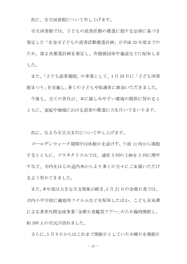次に、市立図書館について申し上げます。

市立図書館では、子どもの読書活動の推進に関する法律に基づき 策定した「名寄市子どもの読書活動推進計画」が平成23年度までの ため、第2次推進計画を策定し、各関係団体や施設などに配布しま した。

また、「子ども読書週間」の事業として、4月28日に「子ども図書 館まつり」を実施し、多くの子どもや保護者に参加いただきました。

今後も、全ての世代が、本に親しみやすい環境の提供に努めると ともに、家庭や地域における読書の推進に力を注いでまいります。

次に、なよろ市立天文台について申し上げます。

ゴールデンウィーク期間中は休館日を設けず、午前11時から開館 するとともに、プラネタリウムでは、通常3回の上映を5回に増や すなど、市内をはじめ道内外からより多くの方々にご来場いただけ るよう努めてきました。

また、本年度は大きな天文現象が続き、5月21日の金環日食では、 市内小中学校に観察用フイルムなどを配布したほか、こども未来課 による多世代間交流事業「金環日食鑑賞ツアー」のため臨時開館し、 約300人の市民が訪れました。

さらに、5月8日からはこれまで閉館日としていた火曜日を開館日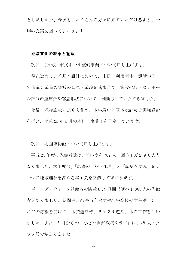としましたが、今後も、たくさんの方々に来ていただけるよう、一 層の充実を図ってまいります。

# 地域文化の継承と創造

次に、(仮称)市民ホール整備事業について申し上げます。

現在進めている基本設計において、市民、利用団体、懇話会そし て市議会議員の皆様の意見・議論を踏まえて、施設の核となるホー ル部分の座席数や客席形状について、判断させていただきました。

今後、既存施設の改修を含め、本年度中に基本設計及び実施設計 を行い、平成25年5月の本体工事着工を予定しています。

次に、北国博物館について申し上げます。

平成23年度の入館者数は、前年度を702人上回る1万2,916人と なりました。本年度は、「名寄の自然と風景」と「歴史を学ぶ」をテ ーマに地域理解を深める展示会を開催してまいります。

ゴールデンウィークは館内を開放し、9日間で延べ1,385人の入館 者がありました。期間中、名寄市立大学や名寄高校の学生ボランテ ィアの応援を受けて、木製游具やリサイクル游具、木の工作を行い ました。また、5月からの「小さな自然観察クラブ」は、28人のク ラブ員で始まりました。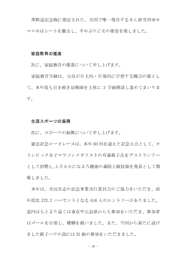進鉄道記念物に指定された、全国で唯一現存するSL排雪列車キ マロキはシートを撤去し、半年ぶりにその雄姿を現しました。

# 家庭教育の推進

次に、家庭教育の推進について申し上げます。

家庭教育学級は、父母が自主的・自発的に学習する機会の場とし て、本年度も引き続き幼稚園を主体に 3 学級開設し進めてまいりま す。

# 生涯スポーツの振興

次に、スポーツの振興について申し上げます。

憲法記念ロードレースは、本年60回を迎えた記念大会として、オ リンピック女子マラソンメダリストの有森裕子氏をゲストランナー として招聘し、5月6日になよろ健康の森陸上競技場を発着として開 催しました。

本年は、市民有志の記念事業実行委員会のご協力をいただき、前 年度比 223.2 パーセントとなる 616 人のエントリーがありました。 道内はもとより遠くは東京や広島県からも参加をいただき、参加者 はゴールを目指し、健脚を競いました。また、今回から新たに設け ました親子ペアの部には35組の参加をいただきました。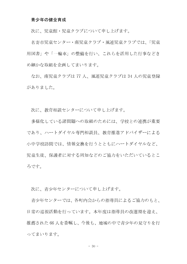# 青少年の健全育成

次に、児童館・児童クラブについて申し上げます。

名寄市児童センター・南児童クラブ・風連児童クラブでは、「児童 用図書」や「一輪車」の整備を行い、これらを活用した行事などき め細かな取組を企画してまいります。

なお、南児童クラブは77人、風連児童クラブは34人の児童登録 がありました。

次に、教育相談センターについて申し上げます。

多様化している諸問題への取組のためには、学校との連携が重要 であり、ハートダイヤル専門相談員、教育推進アドバイザーによる 小中学校訪問では、情報交換を行うとともにハートダイヤルなど、 児童生徒、保護者に対する周知などのご協力をいただいているとこ ろです。

次に、青少年センターについて申し上げます。

青少年センターでは、各町内会からの指導員によるご協力のもと、 日常の巡視活動を行っています。本年度は指導員の改選期を迎え、 推薦された66人を委嘱し、今後も、地域の中で青少年の見守りを行 ってまいります。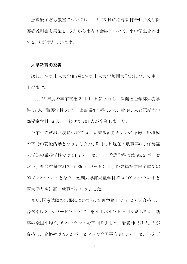放課後子ども教室については、4月25日に指導者打合せ会及び保 護者説明会を実施し、5月から市内3会場において、小中学生合わせ て25人が学んでいます。

# 大学教育の充実

次に、名寄市立大学並びに名寄市立大学短期大学部について申し 上げます。

平成 23 年度の卒業式を 3 月 14 日に挙行し、保健福祉学部栄養学 科 37 人、看護学科 53 人、社会福祉学科 55 人、計 145 人と短期大学 部児童学科56人、合わせて201人が卒業しました。

卒業生の就職状況については、就職氷河期といわれる厳しい環境 の下での就職活動となりましたが、5月1日現在の就職率は、保健福 祉学部の栄養学科では 91.2 パーセント、看護学科では 96.2 パーセ ント、社会福祉学科では 85.2 パーセント、保健福祉学部全体では 90.8 パーセントとなり、短期大学部児童学科では 100 パーセントと 両大学ともに高い就職率となりました。

また、国家試験の結果については、管理栄養士では32人が合格し、 合格率は86.5パーセントと昨年を4.4ポイント上回りましたが、新 卒の全国平均 91.6 パーセントを下回りました。看護師では 51 人が 合格し、合格率は 96.2 パーセントで全国平均 97.3 パーセントを下